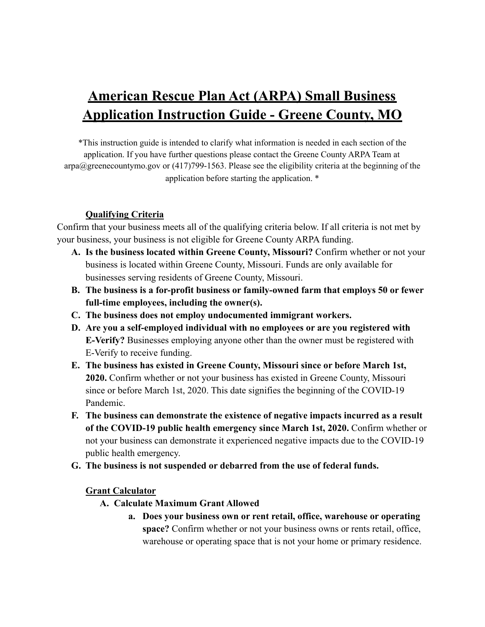# **American Rescue Plan Act (ARPA) Small Business Application Instruction Guide - Greene County, MO**

\*This instruction guide is intended to clarify what information is needed in each section of the application. If you have further questions please contact the Greene County ARPA Team at arpa@greenecountymo.gov or (417)799-1563. Please see the eligibility criteria at the beginning of the application before starting the application. \*

# **Qualifying Criteria**

Confirm that your business meets all of the qualifying criteria below. If all criteria is not met by your business, your business is not eligible for Greene County ARPA funding.

- **A. Is the business located within Greene County, Missouri?** Confirm whether or not your business is located within Greene County, Missouri. Funds are only available for businesses serving residents of Greene County, Missouri.
- **B. The business is a for-profit business or family-owned farm that employs 50 or fewer full-time employees, including the owner(s).**
- **C. The business does not employ undocumented immigrant workers.**
- **D. Are you a self-employed individual with no employees or are you registered with E-Verify?** Businesses employing anyone other than the owner must be registered with E-Verify to receive funding.
- **E. The business has existed in Greene County, Missouri since or before March 1st, 2020.** Confirm whether or not your business has existed in Greene County, Missouri since or before March 1st, 2020. This date signifies the beginning of the COVID-19 Pandemic.
- **F. The business can demonstrate the existence of negative impacts incurred as a result of the COVID-19 public health emergency since March 1st, 2020.** Confirm whether or not your business can demonstrate it experienced negative impacts due to the COVID-19 public health emergency.
- **G. The business is not suspended or debarred from the use of federal funds.**

#### **Grant Calculator**

- **A. Calculate Maximum Grant Allowed**
	- **a. Does your business own or rent retail, office, warehouse or operating space?** Confirm whether or not your business owns or rents retail, office, warehouse or operating space that is not your home or primary residence.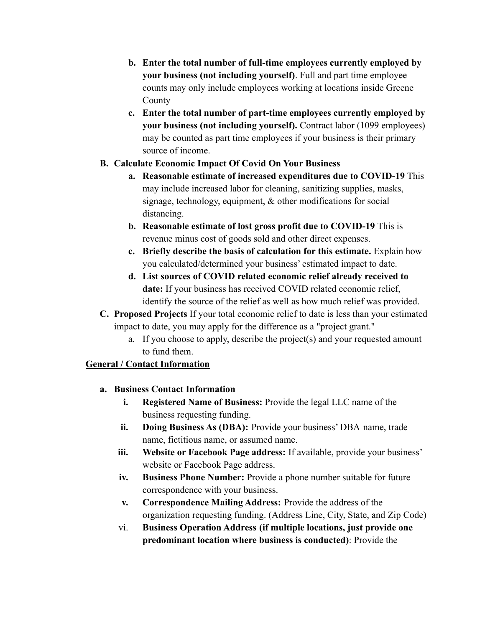- **b. Enter the total number of full-time employees currently employed by your business (not including yourself)**. Full and part time employee counts may only include employees working at locations inside Greene County
- **c. Enter the total number of part-time employees currently employed by your business (not including yourself).** Contract labor (1099 employees) may be counted as part time employees if your business is their primary source of income.

# **B. Calculate Economic Impact Of Covid On Your Business**

- **a. Reasonable estimate of increased expenditures due to COVID-19** This may include increased labor for cleaning, sanitizing supplies, masks, signage, technology, equipment, & other modifications for social distancing.
- **b. Reasonable estimate of lost gross profit due to COVID-19** This is revenue minus cost of goods sold and other direct expenses.
- **c. Briefly describe the basis of calculation for this estimate.** Explain how you calculated/determined your business' estimated impact to date.
- **d. List sources of COVID related economic relief already received to date:** If your business has received COVID related economic relief, identify the source of the relief as well as how much relief was provided.
- **C. Proposed Projects** If your total economic relief to date is less than your estimated impact to date, you may apply for the difference as a "project grant."
	- a. If you choose to apply, describe the project(s) and your requested amount to fund them.

# **General / Contact Information**

# **a. Business Contact Information**

- **i. Registered Name of Business:** Provide the legal LLC name of the business requesting funding.
- **ii. Doing Business As (DBA):** Provide your business' DBA name, trade name, fictitious name, or assumed name.
- **iii. Website or Facebook Page address:** If available, provide your business' website or Facebook Page address.
- **iv. Business Phone Number:** Provide a phone number suitable for future correspondence with your business.
- **v. Correspondence Mailing Address:** Provide the address of the organization requesting funding. (Address Line, City, State, and Zip Code)
- vi. **Business Operation Address (if multiple locations, just provide one predominant location where business is conducted)**: Provide the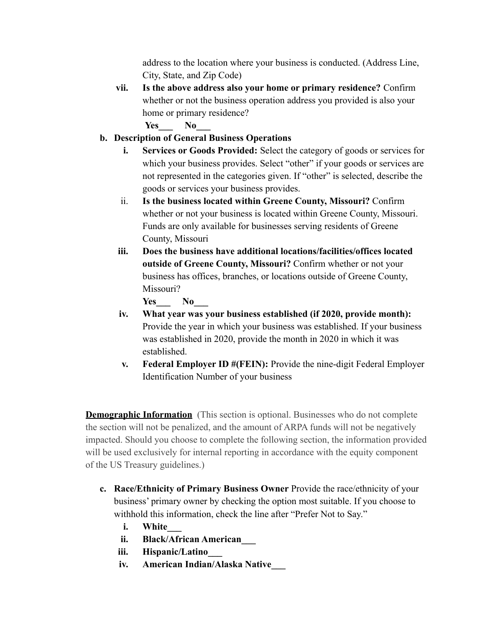address to the location where your business is conducted. (Address Line, City, State, and Zip Code)

**vii. Is the above address also your home or primary residence?** Confirm whether or not the business operation address you provided is also your home or primary residence?

Yes No

- **b. Description of General Business Operations**
	- **i. Services or Goods Provided:** Select the category of goods or services for which your business provides. Select "other" if your goods or services are not represented in the categories given. If "other" is selected, describe the goods or services your business provides.
	- ii. **Is the business located within Greene County, Missouri?** Confirm whether or not your business is located within Greene County, Missouri. Funds are only available for businesses serving residents of Greene County, Missouri
	- **iii. Does the business have additional locations/facilities/offices located outside of Greene County, Missouri?** Confirm whether or not your business has offices, branches, or locations outside of Greene County, Missouri?

```
Yes No
```
- **iv. What year was your business established (if 2020, provide month):** Provide the year in which your business was established. If your business was established in 2020, provide the month in 2020 in which it was established.
- **v. Federal Employer ID #(FEIN):** Provide the nine-digit Federal Employer Identification Number of your business

**Demographic Information** (This section is optional. Businesses who do not complete the section will not be penalized, and the amount of ARPA funds will not be negatively impacted. Should you choose to complete the following section, the information provided will be used exclusively for internal reporting in accordance with the equity component of the US Treasury guidelines.)

- **c. Race/Ethnicity of Primary Business Owner** Provide the race/ethnicity of your business' primary owner by checking the option most suitable. If you choose to withhold this information, check the line after "Prefer Not to Say."
	- **i. White\_\_\_**
	- **ii. Black/African American\_\_\_**
	- **iii. Hispanic/Latino\_\_\_**
	- **iv. American Indian/Alaska Native\_\_\_**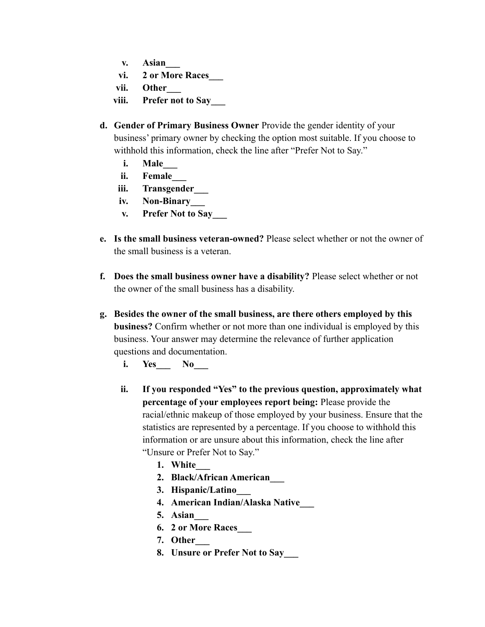- **v. Asian\_\_\_**
- **vi. 2 or More Races\_\_\_**
- **vii. Other\_\_\_**
- **viii. Prefer not to Say\_\_\_**
- **d. Gender of Primary Business Owner** Provide the gender identity of your business' primary owner by checking the option most suitable. If you choose to withhold this information, check the line after "Prefer Not to Say."
	- **i. Male\_\_\_**
	- **ii. Female\_\_\_**
	- **iii. Transgender\_\_\_**
	- **iv. Non-Binary\_\_\_**
	- **v. Prefer Not to Say\_\_\_**
- **e. Is the small business veteran-owned?** Please select whether or not the owner of the small business is a veteran.
- **f. Does the small business owner have a disability?** Please select whether or not the owner of the small business has a disability.
- **g. Besides the owner of the small business, are there others employed by this business?** Confirm whether or not more than one individual is employed by this business. Your answer may determine the relevance of further application questions and documentation.
	- **i. Yes\_\_\_ No\_\_\_**
	- **ii. If you responded "Yes" to the previous question, approximately what percentage of your employees report being:** Please provide the racial/ethnic makeup of those employed by your business. Ensure that the statistics are represented by a percentage. If you choose to withhold this information or are unsure about this information, check the line after "Unsure or Prefer Not to Say."
		- **1. White\_\_\_**
		- **2. Black/African American\_\_\_**
		- **3. Hispanic/Latino\_\_\_**
		- **4. American Indian/Alaska Native\_\_\_**
		- **5. Asian\_\_\_**
		- **6. 2 or More Races\_\_\_**
		- **7. Other\_\_\_**
		- **8. Unsure or Prefer Not to Say\_\_\_**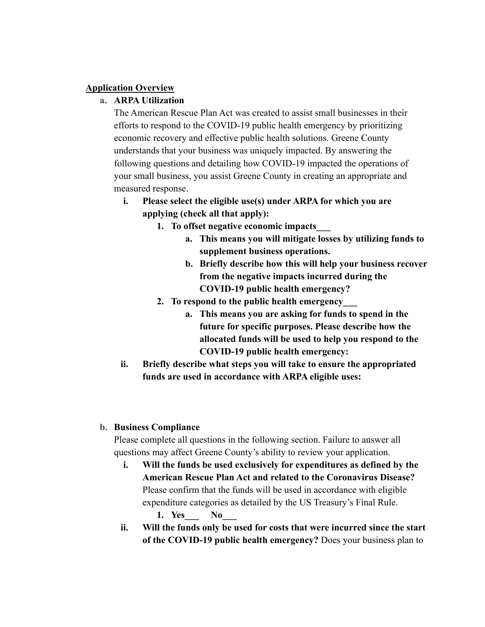#### **Application Overview**

#### **a. ARPA Utilization**

The American Rescue Plan Act was created to assist small businesses in their efforts to respond to the COVID-19 public health emergency by prioritizing economic recovery and effective public health solutions. Greene County understands that your business was uniquely impacted. By answering the following questions and detailing how COVID-19 impacted the operations of your small business, you assist Greene County in creating an appropriate and measured response.

- **i. Please select the eligible use(s) under ARPA for which you are applying (check all that apply):**
	- **1. To offset negative economic impacts\_\_\_**
		- **a. This means you will mitigate losses by utilizing funds to supplement business operations.**
		- **b. Briefly describe how this will help your business recover from the negative impacts incurred during the COVID-19 public health emergency?**
	- **2. To respond to the public health emergency\_\_\_**
		- **a. This means you are asking for funds to spend in the future for specific purposes. Please describe how the allocated funds will be used to help you respond to the COVID-19 public health emergency:**
- **ii. Briefly describe what steps you will take to ensure the appropriated funds are used in accordance with ARPA eligible uses:**

### **b. Business Compliance**

Please complete all questions in the following section. Failure to answer all questions may affect Greene County's ability to review your application.

- **i. Will the funds be used exclusively for expenditures as defined by the American Rescue Plan Act and related to the Coronavirus Disease?** Please confirm that the funds will be used in accordance with eligible expenditure categories as detailed by the US Treasury's Final Rule.
	- **1. Yes\_\_\_ No\_\_\_**
- **ii. Will the funds only be used for costs that were incurred since the start of the COVID-19 public health emergency?** Does your business plan to